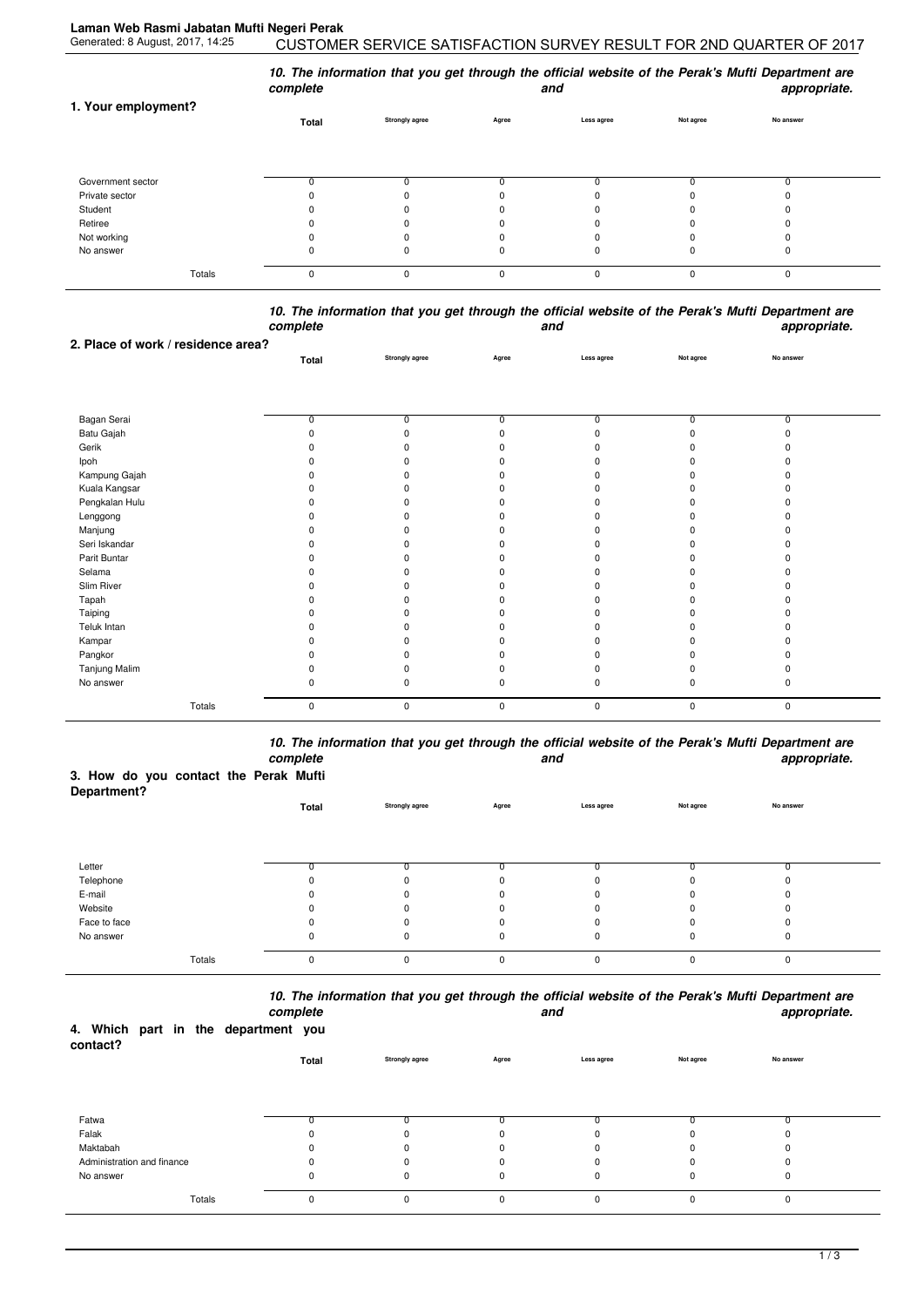| 1. Your employment? | 10. The information that you get through the official website of the Perak's Mufti Department are<br>complete<br>appropriate.<br>and |                       |          |            |           |             |  |  |  |
|---------------------|--------------------------------------------------------------------------------------------------------------------------------------|-----------------------|----------|------------|-----------|-------------|--|--|--|
|                     | Total                                                                                                                                | <b>Strongly agree</b> | Agree    | Less agree | Not agree | No answer   |  |  |  |
| Government sector   |                                                                                                                                      |                       |          |            |           |             |  |  |  |
| Private sector      |                                                                                                                                      |                       | 0        |            |           |             |  |  |  |
| Student             |                                                                                                                                      |                       | 0        |            |           |             |  |  |  |
| Retiree             |                                                                                                                                      |                       | 0        |            |           |             |  |  |  |
| Not working         |                                                                                                                                      |                       | 0        |            |           |             |  |  |  |
| No answer           |                                                                                                                                      | U                     | $\Omega$ | $\Omega$   |           |             |  |  |  |
| Totals              | $\Omega$                                                                                                                             | 0                     | 0        | 0          | $\Omega$  | $\mathbf 0$ |  |  |  |

## *10. The information that you get through the official website of the Perak's Mufti Department are complete and appropriate.*

| 2. Place of work / residence area? |                |                       |                |                |                |                |  |
|------------------------------------|----------------|-----------------------|----------------|----------------|----------------|----------------|--|
|                                    | Total          | <b>Strongly agree</b> | Agree          | Less agree     | Not agree      | No answer      |  |
|                                    |                |                       |                |                |                |                |  |
|                                    |                |                       |                |                |                |                |  |
| Bagan Serai                        | $\overline{0}$ | $\overline{0}$        | $\overline{0}$ | $\overline{0}$ | $\overline{0}$ | $\overline{0}$ |  |
| Batu Gajah                         | $\Omega$       | n                     |                |                | n              | n              |  |
| Gerik                              |                |                       |                |                |                |                |  |
| Ipoh                               |                |                       |                |                |                |                |  |
| Kampung Gajah                      |                |                       |                |                |                |                |  |
| Kuala Kangsar                      |                |                       |                |                |                |                |  |
| Pengkalan Hulu                     |                | ŋ                     |                |                |                |                |  |
| Lenggong                           |                |                       |                |                |                |                |  |
| Manjung                            |                |                       |                |                |                |                |  |
| Seri Iskandar                      |                |                       |                |                |                |                |  |
| Parit Buntar                       |                | n                     |                |                |                |                |  |
| Selama                             |                |                       |                |                |                |                |  |
| Slim River                         |                |                       |                |                |                |                |  |
| Tapah                              |                |                       |                |                |                |                |  |
| Taiping                            |                | n                     |                |                |                |                |  |
| Teluk Intan                        |                |                       |                |                |                |                |  |
| Kampar                             |                |                       |                |                |                |                |  |
| Pangkor                            |                |                       |                |                |                |                |  |
| Tanjung Malim                      |                | ŋ                     |                |                |                |                |  |
| No answer                          | 0              | ŋ                     | O              |                | O              | 0              |  |
| Totals                             | $\mathbf 0$    | 0                     | 0              | $\mathbf 0$    | $\mathbf 0$    | $\pmb{0}$      |  |

*10. The information that you get through the official website of the Perak's Mufti Department are complete and appropriate.*

## **3. How do you contact the Perak Mufti**

| Department?  |          |                       |              |            |           |           |  |
|--------------|----------|-----------------------|--------------|------------|-----------|-----------|--|
|              | Total    | <b>Strongly agree</b> | Agree        | Less agree | Not agree | No answer |  |
|              |          |                       |              |            |           |           |  |
|              |          |                       |              |            |           |           |  |
|              |          |                       |              |            |           |           |  |
| Letter       |          |                       |              |            |           |           |  |
| Telephone    |          | 0                     | 0            | 0          |           |           |  |
| E-mail       |          | 0                     | 0            | 0          | $\Omega$  |           |  |
| Website      |          | 0                     | $\Omega$     | 0          | 0         |           |  |
| Face to face |          |                       | 0            | 0          |           |           |  |
| No answer    | U        | 0                     | 0            | 0          | 0         | 0         |  |
|              |          |                       |              |            |           |           |  |
| Totals       | $\Omega$ | 0                     | $\mathbf{0}$ | 0          | $\Omega$  | $\Omega$  |  |

*10. The information that you get through the official website of the Perak's Mufti Department are*

| 4. Which part in the department you<br>contact? |        | complete |             |                       |          | and         |           | appropriate. |
|-------------------------------------------------|--------|----------|-------------|-----------------------|----------|-------------|-----------|--------------|
|                                                 |        |          | Total       | <b>Strongly agree</b> | Agree    | Less agree  | Not agree | No answer    |
|                                                 |        |          |             |                       |          |             |           |              |
| Fatwa                                           |        |          |             |                       |          |             |           |              |
| Falak                                           |        |          | ω           |                       |          |             |           |              |
| Maktabah                                        |        |          | $\Omega$    | 0                     |          | 0           |           | <sup>0</sup> |
| Administration and finance                      |        |          | n           |                       |          | ŋ           |           | ŋ            |
| No answer                                       |        |          | $\Omega$    | 0                     | 0        | 0           |           | 0            |
|                                                 | Totals |          | $\mathbf 0$ | 0                     | $\Omega$ | $\mathbf 0$ |           | 0            |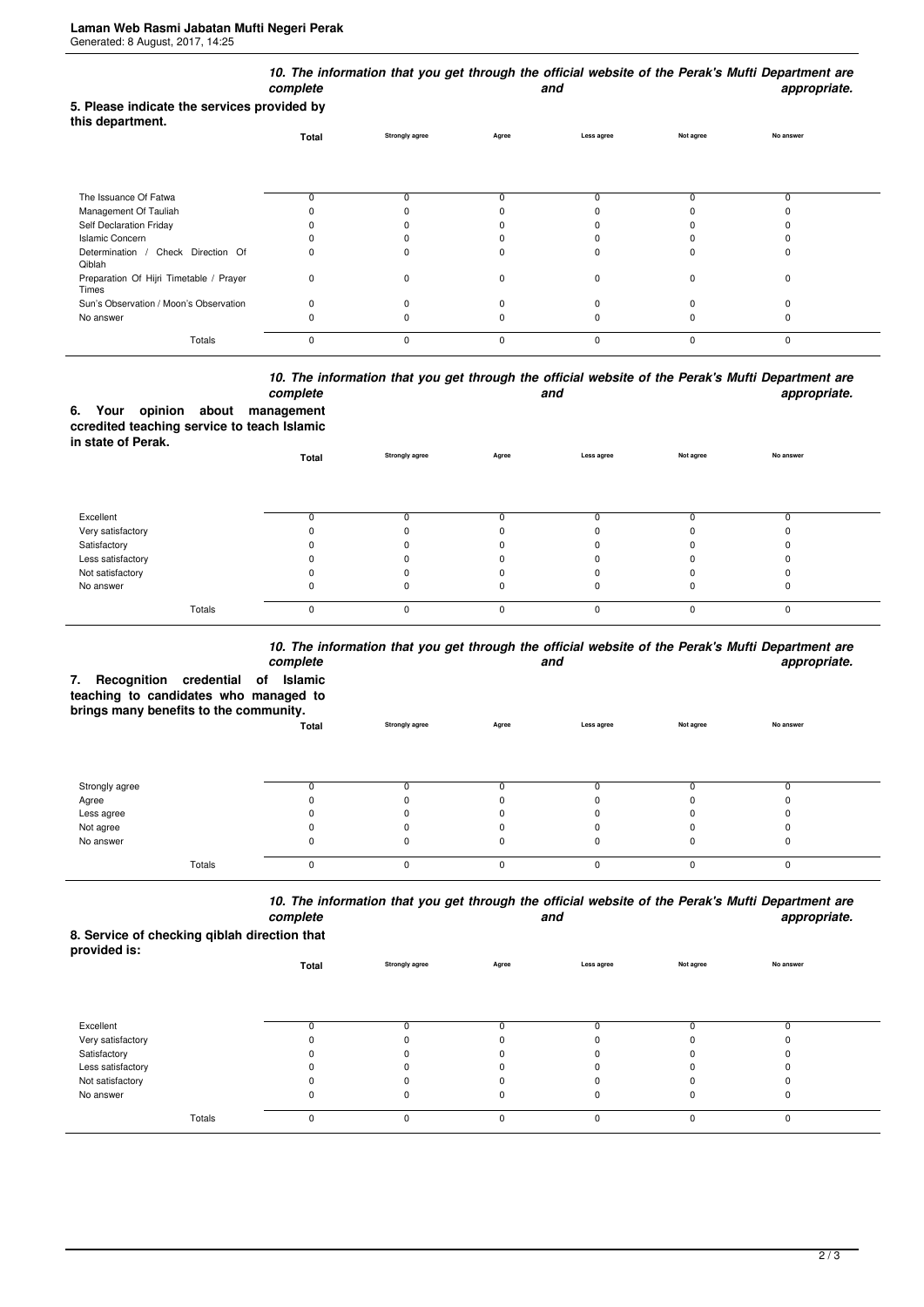| 5. Please indicate the services provided by<br>this department. | complete    |                       |              | and         |              | 10. The information that you get through the official website of the Perak's Mufti Department are<br>appropriate. |
|-----------------------------------------------------------------|-------------|-----------------------|--------------|-------------|--------------|-------------------------------------------------------------------------------------------------------------------|
|                                                                 | Total       | <b>Strongly agree</b> | Agree        | Less agree  | Not agree    | No answer                                                                                                         |
| The Issuance Of Fatwa                                           | 0           | 0                     | <sup>0</sup> |             | 0            | 0                                                                                                                 |
| Management Of Tauliah                                           |             |                       |              |             |              |                                                                                                                   |
| Self Declaration Friday                                         |             |                       |              |             |              |                                                                                                                   |
| <b>Islamic Concern</b>                                          |             |                       |              |             |              |                                                                                                                   |
| Determination / Check Direction Of<br>Qiblah                    | 0           | $\Omega$              | n            |             | C            | ŋ                                                                                                                 |
| Preparation Of Hijri Timetable / Prayer<br>Times                | 0           | 0                     | O            | $\Omega$    | $\Omega$     | $\Omega$                                                                                                          |
| Sun's Observation / Moon's Observation                          | $\Omega$    | $\Omega$              |              |             |              | ŋ                                                                                                                 |
| No answer                                                       | ŋ           | ŋ                     | O            |             |              | ŋ                                                                                                                 |
| Totals                                                          | $\mathbf 0$ | $\mathbf 0$           | $\mathbf 0$  | $\mathbf 0$ | $\mathbf{0}$ | $\mathbf 0$                                                                                                       |

## *10. The information that you get through the official website of the Perak's Mufti Department are* **and** and **appropriate.**

|                    |  | complete                                    |
|--------------------|--|---------------------------------------------|
|                    |  | 6. Your opinion about management            |
|                    |  | ccredited teaching service to teach Islamic |
| in state of Perak. |  |                                             |

| <b> .</b>         | Total    | <b>Strongly agree</b> | Agree    | Less agree | Not agree | No answer |  |
|-------------------|----------|-----------------------|----------|------------|-----------|-----------|--|
|                   |          |                       |          |            |           |           |  |
| Excellent         |          |                       |          |            |           |           |  |
| Very satisfactory |          |                       |          |            |           |           |  |
| Satisfactory      |          |                       |          |            |           |           |  |
| Less satisfactory |          |                       |          |            |           |           |  |
| Not satisfactory  |          |                       |          |            |           |           |  |
| No answer         | O        |                       |          |            |           |           |  |
| Totals            | $\Omega$ | 0                     | $\Omega$ | $\Omega$   |           |           |  |

## *10. The information that you get through the official website of the Perak's Mufti Department are*

| Recognition credential of Islamic<br>7.<br>teaching to candidates who managed to<br>brings many benefits to the community. | complete |                       |          | and        |           | iv. The implification and you get anough the onicial website of the Feran's matti beparament are<br>appropriate. |
|----------------------------------------------------------------------------------------------------------------------------|----------|-----------------------|----------|------------|-----------|------------------------------------------------------------------------------------------------------------------|
|                                                                                                                            | Total    | <b>Strongly agree</b> | Agree    | Less agree | Not agree | No answer                                                                                                        |
|                                                                                                                            |          |                       |          |            |           |                                                                                                                  |
| Strongly agree                                                                                                             |          |                       |          | 0          |           |                                                                                                                  |
| Agree                                                                                                                      |          |                       |          |            |           |                                                                                                                  |
| Less agree                                                                                                                 |          |                       |          |            |           |                                                                                                                  |
| Not agree                                                                                                                  |          |                       |          |            |           |                                                                                                                  |
| No answer                                                                                                                  |          |                       |          | 0          |           |                                                                                                                  |
| Totals                                                                                                                     | C        | O                     | $\Omega$ | $\Omega$   |           | $\Omega$                                                                                                         |

*10. The information that you get through the official website of the Perak's Mufti Department are complete and appropriate.*

**8. Service of checking qiblah direction that provided is:**

| provided is.      | Total | <b>Strongly agree</b> | Agree    | Less agree | Not agree | No answer |  |
|-------------------|-------|-----------------------|----------|------------|-----------|-----------|--|
|                   |       |                       |          |            |           |           |  |
| Excellent         |       |                       |          |            |           |           |  |
| Very satisfactory |       | $\Omega$              |          |            |           |           |  |
| Satisfactory      |       | 0                     |          |            |           |           |  |
| Less satisfactory |       | 0                     |          |            |           |           |  |
| Not satisfactory  |       |                       |          |            |           |           |  |
| No answer         | 0     | 0                     |          | 0          | 0         | υ         |  |
| Totals            | 0     | 0                     | $\Omega$ | $\Omega$   | $\Omega$  | 0         |  |